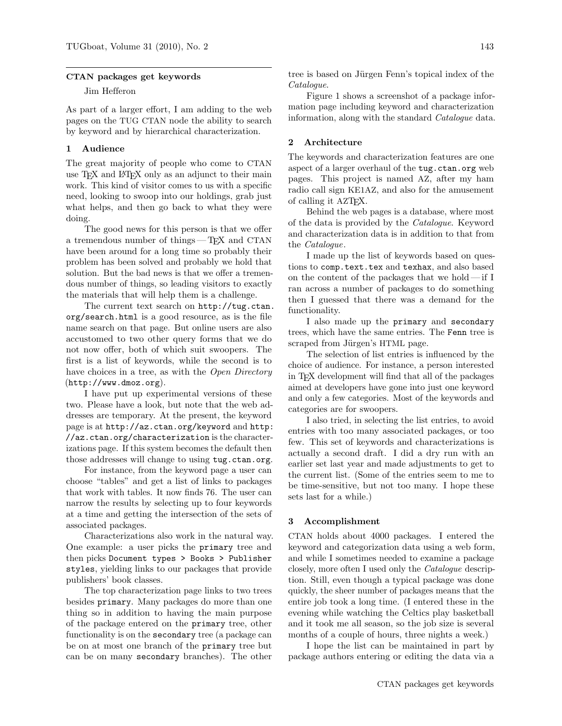### CTAN packages get keywords

# Jim Hefferon

As part of a larger effort, I am adding to the web pages on the TUG CTAN node the ability to search by keyword and by hierarchical characterization.

## 1 Audience

The great majority of people who come to CTAN use T<sub>F</sub>X and L<sup>AT</sup>F<sub>X</sub> only as an adjunct to their main work. This kind of visitor comes to us with a specific need, looking to swoop into our holdings, grab just what helps, and then go back to what they were doing.

The good news for this person is that we offer a tremendous number of things— TEX and CTAN have been around for a long time so probably their problem has been solved and probably we hold that solution. But the bad news is that we offer a tremendous number of things, so leading visitors to exactly the materials that will help them is a challenge.

The current text search on [http://tug.ctan.](http://tug.ctan.org/search.html) [org/search.html](http://tug.ctan.org/search.html) is a good resource, as is the file name search on that page. But online users are also accustomed to two other query forms that we do not now offer, both of which suit swoopers. The first is a list of keywords, while the second is to have choices in a tree, as with the Open Directory (<http://www.dmoz.org>).

I have put up experimental versions of these two. Please have a look, but note that the web addresses are temporary. At the present, the keyword page is at <http://az.ctan.org/keyword> and [http:](http://az.ctan.org/characterization) [//az.ctan.org/characterization](http://az.ctan.org/characterization) is the characterizations page. If this system becomes the default then those addresses will change to using <tug.ctan.org>.

For instance, from the keyword page a user can choose "tables" and get a list of links to packages that work with tables. It now finds 76. The user can narrow the results by selecting up to four keywords at a time and getting the intersection of the sets of associated packages.

Characterizations also work in the natural way. One example: a user picks the primary tree and then picks Document types > Books > Publisher styles, yielding links to our packages that provide publishers' book classes.

The top characterization page links to two trees besides primary. Many packages do more than one thing so in addition to having the main purpose of the package entered on the primary tree, other functionality is on the secondary tree (a package can be on at most one branch of the primary tree but can be on many secondary branches). The other tree is based on Jürgen Fenn's [topical index](http://mirror.ctan.org/help/Catalogue/bytopic.html) of the Catalogue.

Figure 1 shows a screenshot of a package information page including keyword and characterization information, along with the standard Catalogue data.

## 2 Architecture

The keywords and characterization features are one aspect of a larger overhaul of the tug.ctan.org web pages. This project is named AZ, after my ham radio call sign KE1AZ, and also for the amusement of calling it AZT<sub>F</sub>X.

Behind the web pages is a database, where most of the data is provided by the Catalogue. Keyword and characterization data is in addition to that from the *Catalogue*.

I made up the list of keywords based on questions to comp.text.tex and texhax, and also based on the content of the packages that we hold— if I ran across a number of packages to do something then I guessed that there was a demand for the functionality.

I also made up the primary and secondary trees, which have the same entries. The Fenn tree is scraped from Jürgen's HTML page.

The selection of list entries is influenced by the choice of audience. For instance, a person interested in TEX development will find that all of the packages aimed at developers have gone into just one keyword and only a few categories. Most of the keywords and categories are for swoopers.

I also tried, in selecting the list entries, to avoid entries with too many associated packages, or too few. This set of keywords and characterizations is actually a second draft. I did a dry run with an earlier set last year and made adjustments to get to the current list. (Some of the entries seem to me to be time-sensitive, but not too many. I hope these sets last for a while.)

#### 3 Accomplishment

CTAN holds about 4000 packages. I entered the keyword and categorization data using a web form, and while I sometimes needed to examine a package closely, more often I used only the Catalogue description. Still, even though a typical package was done quickly, the sheer number of packages means that the entire job took a long time. (I entered these in the evening while watching the Celtics play basketball and it took me all season, so the job size is several months of a couple of hours, three nights a week.)

I hope the list can be maintained in part by package authors entering or editing the data via a